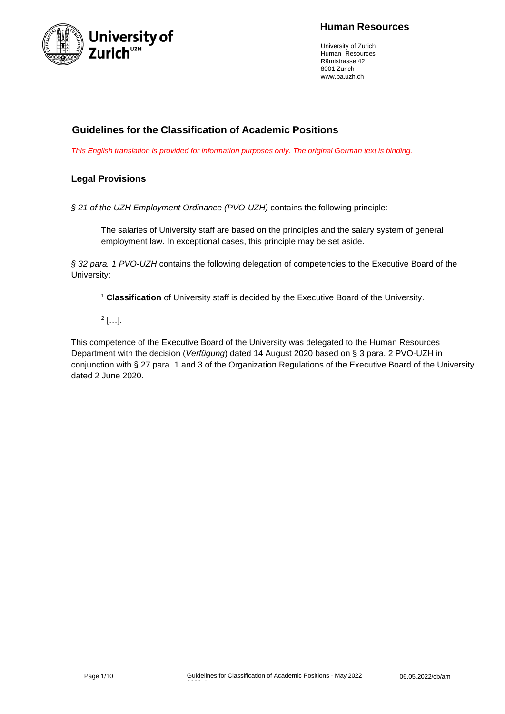

### **Human Resources**

University of Zurich Human Resources Rämistrasse 42 8001 Zurich [www.pa.uzh.ch](http://www.pa.uzh.ch/)

## **Guidelines for the Classification of Academic Positions**

*This English translation is provided for information purposes only. The original German text is binding.*

#### **Legal Provisions**

*§ 21 of the UZH Employment Ordinance (PVO-UZH)* contains the following principle:

The salaries of University staff are based on the principles and the salary system of general employment law. In exceptional cases, this principle may be set aside.

*§ 32 para. 1 PVO-UZH* contains the following delegation of competencies to the Executive Board of the University:

<sup>1</sup> **Classification** of University staff is decided by the Executive Board of the University.

2 […].

This competence of the Executive Board of the University was delegated to the Human Resources Department with the decision (*Verfügung*) dated 14 August 2020 based on § 3 para. 2 PVO-UZH in conjunction with § 27 para. 1 and 3 of the Organization Regulations of the Executive Board of the University dated 2 June 2020.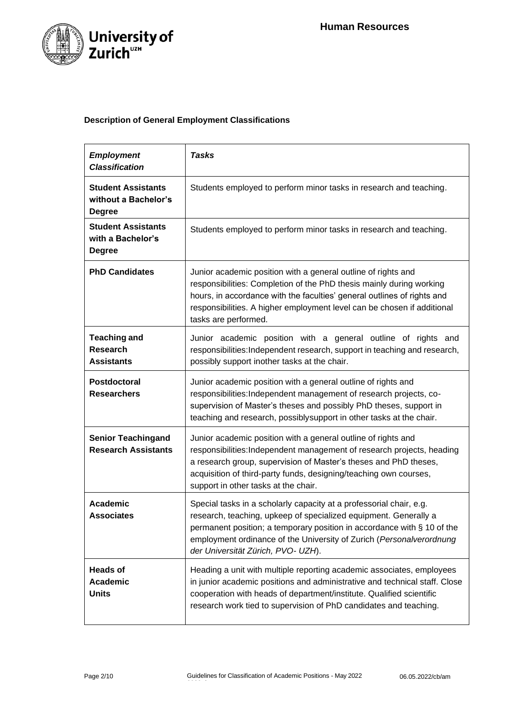

### **Description of General Employment Classifications**

| <b>Employment</b><br><b>Classification</b>                         | <b>Tasks</b>                                                                                                                                                                                                                                                                                                                     |  |
|--------------------------------------------------------------------|----------------------------------------------------------------------------------------------------------------------------------------------------------------------------------------------------------------------------------------------------------------------------------------------------------------------------------|--|
| <b>Student Assistants</b><br>without a Bachelor's<br><b>Degree</b> | Students employed to perform minor tasks in research and teaching.                                                                                                                                                                                                                                                               |  |
| <b>Student Assistants</b><br>with a Bachelor's<br><b>Degree</b>    | Students employed to perform minor tasks in research and teaching.                                                                                                                                                                                                                                                               |  |
| <b>PhD Candidates</b>                                              | Junior academic position with a general outline of rights and<br>responsibilities: Completion of the PhD thesis mainly during working<br>hours, in accordance with the faculties' general outlines of rights and<br>responsibilities. A higher employment level can be chosen if additional<br>tasks are performed.              |  |
| <b>Teaching and</b><br><b>Research</b><br><b>Assistants</b>        | Junior academic position with a general outline of rights and<br>responsibilities: Independent research, support in teaching and research,<br>possibly support inother tasks at the chair.                                                                                                                                       |  |
| Postdoctoral<br><b>Researchers</b>                                 | Junior academic position with a general outline of rights and<br>responsibilities: Independent management of research projects, co-<br>supervision of Master's theses and possibly PhD theses, support in<br>teaching and research, possibly support in other tasks at the chair.                                                |  |
| <b>Senior Teachingand</b><br><b>Research Assistants</b>            | Junior academic position with a general outline of rights and<br>responsibilities: Independent management of research projects, heading<br>a research group, supervision of Master's theses and PhD theses,<br>acquisition of third-party funds, designing/teaching own courses,<br>support in other tasks at the chair.         |  |
| <b>Academic</b><br><b>Associates</b>                               | Special tasks in a scholarly capacity at a professorial chair, e.g.<br>research, teaching, upkeep of specialized equipment. Generally a<br>permanent position; a temporary position in accordance with § 10 of the<br>employment ordinance of the University of Zurich (Personalverordnung<br>der Universität Zürich, PVO- UZH). |  |
| <b>Heads of</b><br><b>Academic</b><br><b>Units</b>                 | Heading a unit with multiple reporting academic associates, employees<br>in junior academic positions and administrative and technical staff. Close<br>cooperation with heads of department/institute. Qualified scientific<br>research work tied to supervision of PhD candidates and teaching.                                 |  |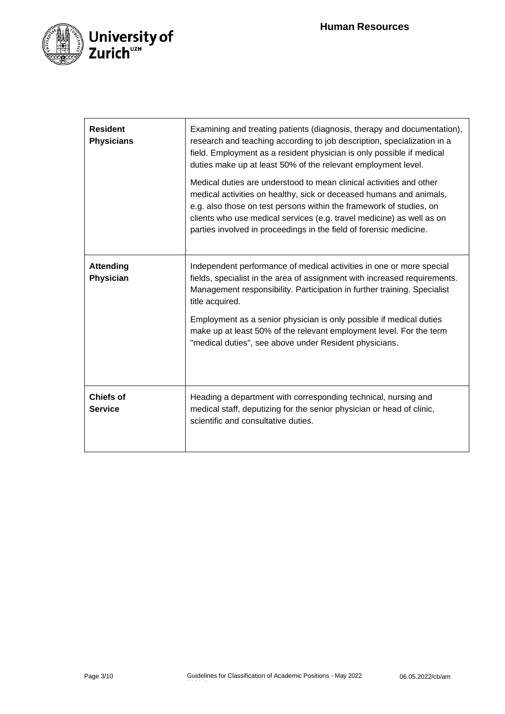

| <b>Resident</b><br><b>Physicians</b> | Examining and treating patients (diagnosis, therapy and documentation),<br>research and teaching according to job description, specialization in a<br>field. Employment as a resident physician is only possible if medical<br>duties make up at least 50% of the relevant employment level.<br>Medical duties are understood to mean clinical activities and other<br>medical activities on healthy, sick or deceased humans and animals,<br>e.g. also those on test persons within the framework of studies, on<br>clients who use medical services (e.g. travel medicine) as well as on<br>parties involved in proceedings in the field of forensic medicine. |
|--------------------------------------|------------------------------------------------------------------------------------------------------------------------------------------------------------------------------------------------------------------------------------------------------------------------------------------------------------------------------------------------------------------------------------------------------------------------------------------------------------------------------------------------------------------------------------------------------------------------------------------------------------------------------------------------------------------|
| <b>Attending</b><br>Physician        | Independent performance of medical activities in one or more special<br>fields, specialist in the area of assignment with increased requirements.<br>Management responsibility. Participation in further training. Specialist<br>title acquired.<br>Employment as a senior physician is only possible if medical duties<br>make up at least 50% of the relevant employment level. For the term<br>"medical duties", see above under Resident physicians.                                                                                                                                                                                                         |
| <b>Chiefs of</b><br><b>Service</b>   | Heading a department with corresponding technical, nursing and<br>medical staff, deputizing for the senior physician or head of clinic,<br>scientific and consultative duties.                                                                                                                                                                                                                                                                                                                                                                                                                                                                                   |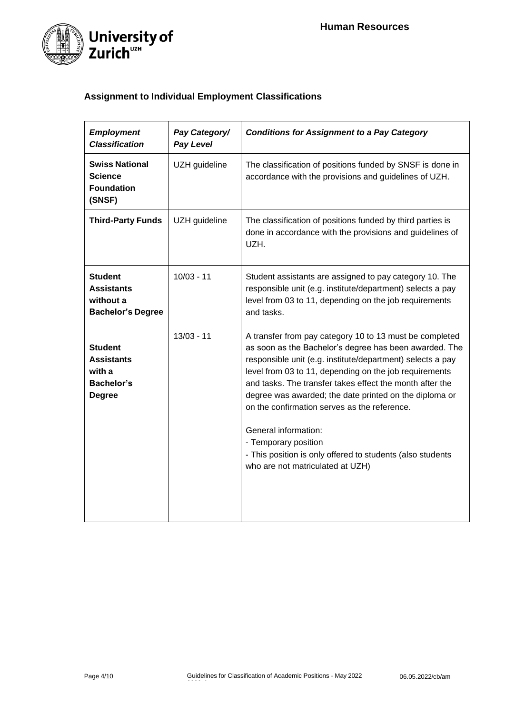

# **Assignment to Individual Employment Classifications**

| <b>Employment</b><br><b>Classification</b>                                          | Pay Category/<br><b>Pay Level</b> | <b>Conditions for Assignment to a Pay Category</b>                                                                                                                                                                                                                                                                                                                                                                                                                                                                                                                |
|-------------------------------------------------------------------------------------|-----------------------------------|-------------------------------------------------------------------------------------------------------------------------------------------------------------------------------------------------------------------------------------------------------------------------------------------------------------------------------------------------------------------------------------------------------------------------------------------------------------------------------------------------------------------------------------------------------------------|
| <b>Swiss National</b><br>Science<br><b>Foundation</b><br>(SNSF)                     | UZH guideline                     | The classification of positions funded by SNSF is done in<br>accordance with the provisions and guidelines of UZH.                                                                                                                                                                                                                                                                                                                                                                                                                                                |
| <b>Third-Party Funds</b>                                                            | UZH guideline                     | The classification of positions funded by third parties is<br>done in accordance with the provisions and guidelines of<br>UZH.                                                                                                                                                                                                                                                                                                                                                                                                                                    |
| <b>Student</b><br><b>Assistants</b><br>without a<br><b>Bachelor's Degree</b>        | $10/03 - 11$                      | Student assistants are assigned to pay category 10. The<br>responsible unit (e.g. institute/department) selects a pay<br>level from 03 to 11, depending on the job requirements<br>and tasks.                                                                                                                                                                                                                                                                                                                                                                     |
| <b>Student</b><br><b>Assistants</b><br>with a<br><b>Bachelor's</b><br><b>Degree</b> | $13/03 - 11$                      | A transfer from pay category 10 to 13 must be completed<br>as soon as the Bachelor's degree has been awarded. The<br>responsible unit (e.g. institute/department) selects a pay<br>level from 03 to 11, depending on the job requirements<br>and tasks. The transfer takes effect the month after the<br>degree was awarded; the date printed on the diploma or<br>on the confirmation serves as the reference.<br>General information:<br>- Temporary position<br>- This position is only offered to students (also students<br>who are not matriculated at UZH) |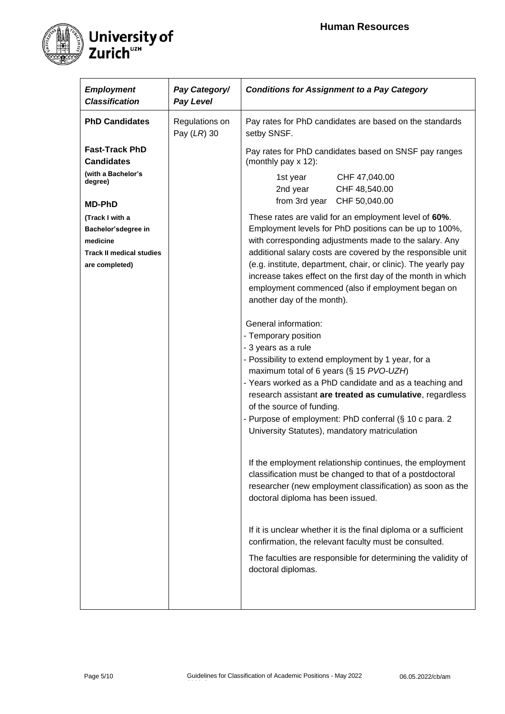

| <b>Employment</b><br><b>Classification</b> | Pay Category/<br><b>Pay Level</b> | <b>Conditions for Assignment to a Pay Category</b>                                                                                                                                                                     |
|--------------------------------------------|-----------------------------------|------------------------------------------------------------------------------------------------------------------------------------------------------------------------------------------------------------------------|
| <b>PhD Candidates</b>                      | Regulations on<br>Pay (LR) 30     | Pay rates for PhD candidates are based on the standards<br>setby SNSF.                                                                                                                                                 |
| <b>Fast-Track PhD</b><br><b>Candidates</b> |                                   | Pay rates for PhD candidates based on SNSF pay ranges<br>(monthly pay x 12):                                                                                                                                           |
| (with a Bachelor's<br>degree)              |                                   | 1st year<br>CHF 47,040.00<br>2nd year<br>CHF 48,540.00<br>from 3rd year<br>CHF 50,040.00                                                                                                                               |
| <b>MD-PhD</b>                              |                                   |                                                                                                                                                                                                                        |
| (Track I with a<br>Bachelor'sdegree in     |                                   | These rates are valid for an employment level of 60%.<br>Employment levels for PhD positions can be up to 100%,                                                                                                        |
| medicine                                   |                                   | with corresponding adjustments made to the salary. Any                                                                                                                                                                 |
| <b>Track II medical studies</b>            |                                   | additional salary costs are covered by the responsible unit                                                                                                                                                            |
| are completed)                             |                                   | (e.g. institute, department, chair, or clinic). The yearly pay<br>increase takes effect on the first day of the month in which<br>employment commenced (also if employment began on<br>another day of the month).      |
|                                            |                                   | General information:                                                                                                                                                                                                   |
|                                            |                                   | - Temporary position                                                                                                                                                                                                   |
|                                            |                                   | - 3 years as a rule                                                                                                                                                                                                    |
|                                            |                                   | - Possibility to extend employment by 1 year, for a                                                                                                                                                                    |
|                                            |                                   | maximum total of 6 years (§ 15 PVO-UZH)<br>- Years worked as a PhD candidate and as a teaching and                                                                                                                     |
|                                            |                                   | research assistant are treated as cumulative, regardless<br>of the source of funding.                                                                                                                                  |
|                                            |                                   | - Purpose of employment: PhD conferral (§ 10 c para. 2                                                                                                                                                                 |
|                                            |                                   | University Statutes), mandatory matriculation                                                                                                                                                                          |
|                                            |                                   | If the employment relationship continues, the employment<br>classification must be changed to that of a postdoctoral<br>researcher (new employment classification) as soon as the<br>doctoral diploma has been issued. |
|                                            |                                   | If it is unclear whether it is the final diploma or a sufficient<br>confirmation, the relevant faculty must be consulted.                                                                                              |
|                                            |                                   | The faculties are responsible for determining the validity of<br>doctoral diplomas.                                                                                                                                    |
|                                            |                                   |                                                                                                                                                                                                                        |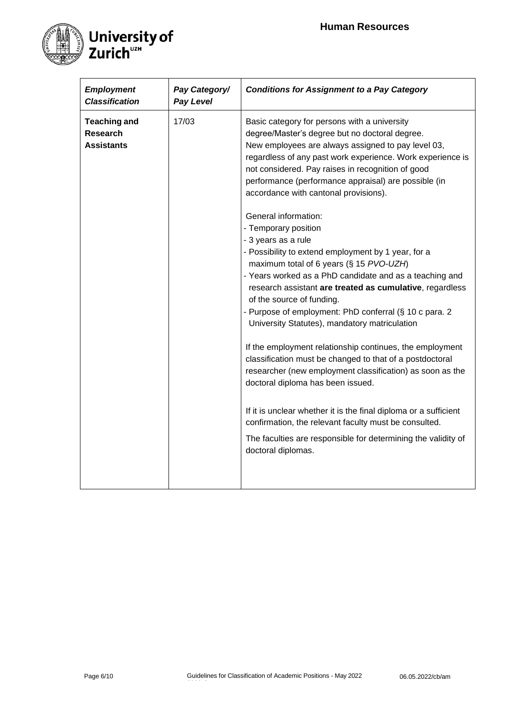

| <b>Employment</b><br><b>Classification</b>                  | Pay Category/<br><b>Pay Level</b> | <b>Conditions for Assignment to a Pay Category</b>                                                                                                                                                                                                                                                                                                                                                                       |
|-------------------------------------------------------------|-----------------------------------|--------------------------------------------------------------------------------------------------------------------------------------------------------------------------------------------------------------------------------------------------------------------------------------------------------------------------------------------------------------------------------------------------------------------------|
| <b>Teaching and</b><br><b>Research</b><br><b>Assistants</b> | 17/03                             | Basic category for persons with a university<br>degree/Master's degree but no doctoral degree.<br>New employees are always assigned to pay level 03,<br>regardless of any past work experience. Work experience is<br>not considered. Pay raises in recognition of good<br>performance (performance appraisal) are possible (in<br>accordance with cantonal provisions).<br>General information:<br>- Temporary position |
|                                                             |                                   | - 3 years as a rule<br>- Possibility to extend employment by 1 year, for a<br>maximum total of 6 years (§ 15 PVO-UZH)<br>- Years worked as a PhD candidate and as a teaching and<br>research assistant are treated as cumulative, regardless<br>of the source of funding.<br>- Purpose of employment: PhD conferral (§ 10 c para. 2<br>University Statutes), mandatory matriculation                                     |
|                                                             |                                   | If the employment relationship continues, the employment<br>classification must be changed to that of a postdoctoral<br>researcher (new employment classification) as soon as the<br>doctoral diploma has been issued.                                                                                                                                                                                                   |
|                                                             |                                   | If it is unclear whether it is the final diploma or a sufficient<br>confirmation, the relevant faculty must be consulted.<br>The faculties are responsible for determining the validity of<br>doctoral diplomas.                                                                                                                                                                                                         |
|                                                             |                                   |                                                                                                                                                                                                                                                                                                                                                                                                                          |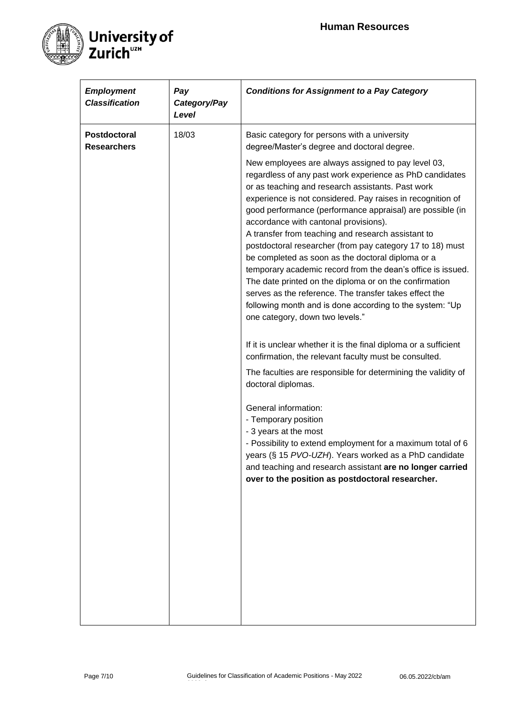

| <b>Employment</b><br><b>Classification</b> | Pay<br>Category/Pay<br>Level | <b>Conditions for Assignment to a Pay Category</b>                                                                                                                                                                                                                                                                                                                                                                                                                                                                                                                                                                                                                                                                                                                                                                                                                                                                                                                                                                                                                                                                                                                                                                                                                                                                                                                                                                                     |
|--------------------------------------------|------------------------------|----------------------------------------------------------------------------------------------------------------------------------------------------------------------------------------------------------------------------------------------------------------------------------------------------------------------------------------------------------------------------------------------------------------------------------------------------------------------------------------------------------------------------------------------------------------------------------------------------------------------------------------------------------------------------------------------------------------------------------------------------------------------------------------------------------------------------------------------------------------------------------------------------------------------------------------------------------------------------------------------------------------------------------------------------------------------------------------------------------------------------------------------------------------------------------------------------------------------------------------------------------------------------------------------------------------------------------------------------------------------------------------------------------------------------------------|
| <b>Postdoctoral</b><br><b>Researchers</b>  | 18/03                        | Basic category for persons with a university<br>degree/Master's degree and doctoral degree.<br>New employees are always assigned to pay level 03,<br>regardless of any past work experience as PhD candidates<br>or as teaching and research assistants. Past work<br>experience is not considered. Pay raises in recognition of<br>good performance (performance appraisal) are possible (in<br>accordance with cantonal provisions).<br>A transfer from teaching and research assistant to<br>postdoctoral researcher (from pay category 17 to 18) must<br>be completed as soon as the doctoral diploma or a<br>temporary academic record from the dean's office is issued.<br>The date printed on the diploma or on the confirmation<br>serves as the reference. The transfer takes effect the<br>following month and is done according to the system: "Up<br>one category, down two levels."<br>If it is unclear whether it is the final diploma or a sufficient<br>confirmation, the relevant faculty must be consulted.<br>The faculties are responsible for determining the validity of<br>doctoral diplomas.<br>General information:<br>- Temporary position<br>- 3 years at the most<br>- Possibility to extend employment for a maximum total of 6<br>years (§ 15 PVO-UZH). Years worked as a PhD candidate<br>and teaching and research assistant are no longer carried<br>over to the position as postdoctoral researcher. |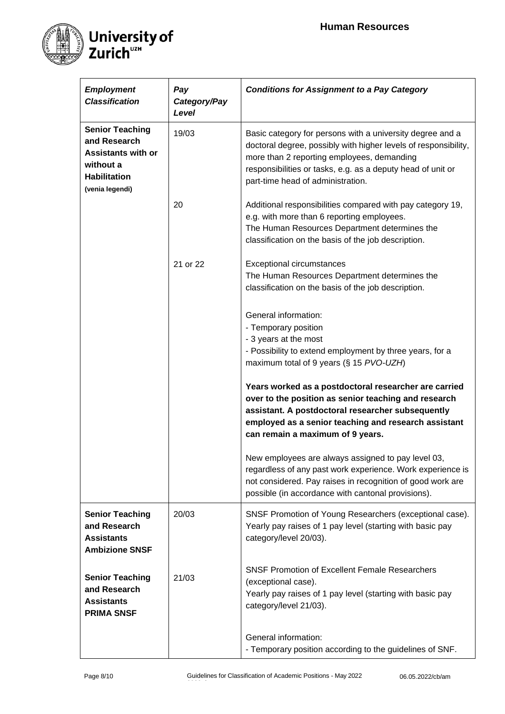

| <b>Employment</b><br><b>Classification</b>                                                                                 | Pay<br>Category/Pay<br>Level | <b>Conditions for Assignment to a Pay Category</b>                                                                                                                                                                                                                             |
|----------------------------------------------------------------------------------------------------------------------------|------------------------------|--------------------------------------------------------------------------------------------------------------------------------------------------------------------------------------------------------------------------------------------------------------------------------|
| <b>Senior Teaching</b><br>and Research<br><b>Assistants with or</b><br>without a<br><b>Habilitation</b><br>(venia legendi) | 19/03                        | Basic category for persons with a university degree and a<br>doctoral degree, possibly with higher levels of responsibility,<br>more than 2 reporting employees, demanding<br>responsibilities or tasks, e.g. as a deputy head of unit or<br>part-time head of administration. |
|                                                                                                                            | 20                           | Additional responsibilities compared with pay category 19,<br>e.g. with more than 6 reporting employees.<br>The Human Resources Department determines the<br>classification on the basis of the job description.                                                               |
|                                                                                                                            | 21 or 22                     | <b>Exceptional circumstances</b><br>The Human Resources Department determines the<br>classification on the basis of the job description.                                                                                                                                       |
|                                                                                                                            |                              | General information:<br>- Temporary position<br>- 3 years at the most<br>- Possibility to extend employment by three years, for a<br>maximum total of 9 years (§ 15 PVO-UZH)                                                                                                   |
|                                                                                                                            |                              | Years worked as a postdoctoral researcher are carried<br>over to the position as senior teaching and research<br>assistant. A postdoctoral researcher subsequently<br>employed as a senior teaching and research assistant<br>can remain a maximum of 9 years.                 |
|                                                                                                                            |                              | New employees are always assigned to pay level 03,<br>regardless of any past work experience. Work experience is<br>not considered. Pay raises in recognition of good work are<br>possible (in accordance with cantonal provisions).                                           |
| <b>Senior Teaching</b><br>and Research<br><b>Assistants</b><br><b>Ambizione SNSF</b>                                       | 20/03                        | SNSF Promotion of Young Researchers (exceptional case).<br>Yearly pay raises of 1 pay level (starting with basic pay<br>category/level 20/03).                                                                                                                                 |
| <b>Senior Teaching</b><br>and Research<br><b>Assistants</b><br><b>PRIMA SNSF</b>                                           | 21/03                        | SNSF Promotion of Excellent Female Researchers<br>(exceptional case).<br>Yearly pay raises of 1 pay level (starting with basic pay<br>category/level 21/03).                                                                                                                   |
|                                                                                                                            |                              | General information:<br>- Temporary position according to the guidelines of SNF.                                                                                                                                                                                               |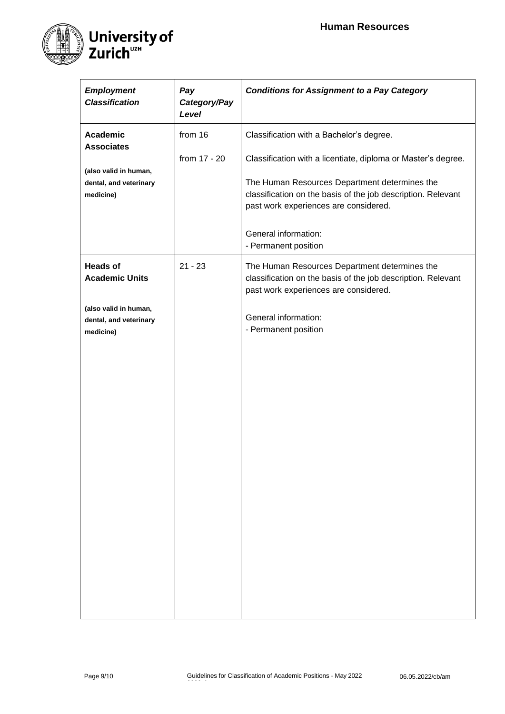

| <b>Employment</b><br><b>Classification</b>                   | Pay<br>Category/Pay<br>Level | <b>Conditions for Assignment to a Pay Category</b>                                                                                                                                                                                                                      |
|--------------------------------------------------------------|------------------------------|-------------------------------------------------------------------------------------------------------------------------------------------------------------------------------------------------------------------------------------------------------------------------|
| <b>Academic</b><br><b>Associates</b>                         | from 16                      | Classification with a Bachelor's degree.                                                                                                                                                                                                                                |
| (also valid in human,<br>dental, and veterinary<br>medicine) | from 17 - 20                 | Classification with a licentiate, diploma or Master's degree.<br>The Human Resources Department determines the<br>classification on the basis of the job description. Relevant<br>past work experiences are considered.<br>General information:<br>- Permanent position |
| <b>Heads of</b><br><b>Academic Units</b>                     | $21 - 23$                    | The Human Resources Department determines the<br>classification on the basis of the job description. Relevant<br>past work experiences are considered.                                                                                                                  |
| (also valid in human,<br>dental, and veterinary<br>medicine) |                              | General information:<br>- Permanent position                                                                                                                                                                                                                            |